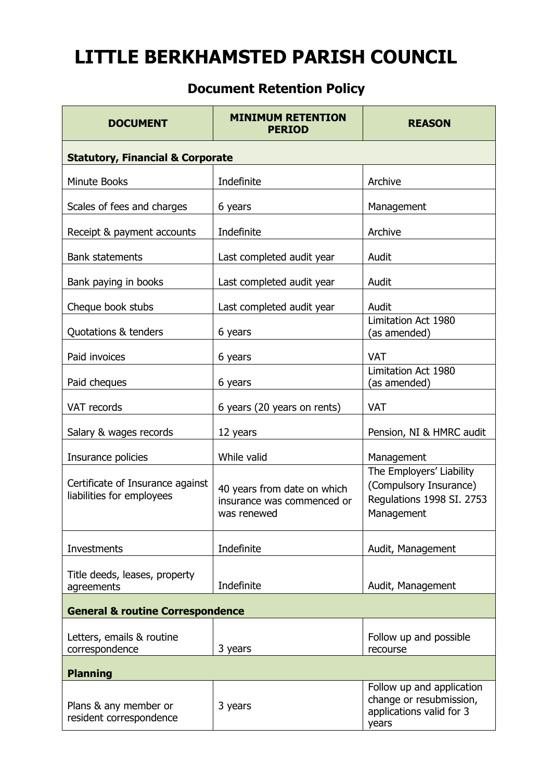## **LITTLE BERKHAMSTED PARISH COUNCIL**

## **Document Retention Policy**

| <b>DOCUMENT</b>                                               | <b>MINIMUM RETENTION</b><br><b>PERIOD</b>                                | <b>REASON</b>                                                                                 |  |
|---------------------------------------------------------------|--------------------------------------------------------------------------|-----------------------------------------------------------------------------------------------|--|
| <b>Statutory, Financial &amp; Corporate</b>                   |                                                                          |                                                                                               |  |
| <b>Minute Books</b>                                           | Indefinite                                                               | Archive                                                                                       |  |
| Scales of fees and charges                                    | 6 years                                                                  | Management                                                                                    |  |
| Receipt & payment accounts                                    | Indefinite                                                               | Archive                                                                                       |  |
| <b>Bank statements</b>                                        | Last completed audit year                                                | Audit                                                                                         |  |
| Bank paying in books                                          | Last completed audit year                                                | Audit                                                                                         |  |
| Cheque book stubs                                             | Last completed audit year                                                | Audit                                                                                         |  |
| Quotations & tenders                                          | 6 years                                                                  | Limitation Act 1980<br>(as amended)                                                           |  |
| Paid invoices                                                 | 6 years                                                                  | <b>VAT</b>                                                                                    |  |
| Paid cheques                                                  | 6 years                                                                  | Limitation Act 1980<br>(as amended)                                                           |  |
| VAT records                                                   | 6 years (20 years on rents)                                              | <b>VAT</b>                                                                                    |  |
| Salary & wages records                                        | 12 years                                                                 | Pension, NI & HMRC audit                                                                      |  |
| Insurance policies                                            | While valid                                                              | Management                                                                                    |  |
| Certificate of Insurance against<br>liabilities for employees | 40 years from date on which<br>insurance was commenced or<br>was renewed | The Employers' Liability<br>(Compulsory Insurance)<br>Regulations 1998 SI. 2753<br>Management |  |
| <b>Investments</b>                                            | Indefinite                                                               | Audit, Management                                                                             |  |
| Title deeds, leases, property<br>agreements                   | Indefinite                                                               | Audit, Management                                                                             |  |
| <b>General &amp; routine Correspondence</b>                   |                                                                          |                                                                                               |  |
| Letters, emails & routine<br>correspondence                   | 3 years                                                                  | Follow up and possible<br>recourse                                                            |  |
| <b>Planning</b>                                               |                                                                          |                                                                                               |  |
| Plans & any member or<br>resident correspondence              | 3 years                                                                  | Follow up and application<br>change or resubmission,<br>applications valid for 3<br>years     |  |